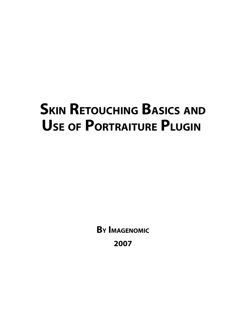# **SKIN RETOUCHING BASICS AND USE OF PORTRAITURE PLUGIN**

**B<sup>Y</sup> IMAGENOMIC**

**2007**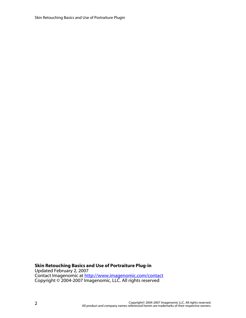Skin Retouching Basics and Use of Portraiture Plugin

**Skin Retouching Basics and Use of Portraiture Plug-in** Updated February 2, 2007 Contact Imagenomic at<http://www.imagenomic.com/contact> Copyright © 2004-2007 Imagenomic, LLC. All rights reserved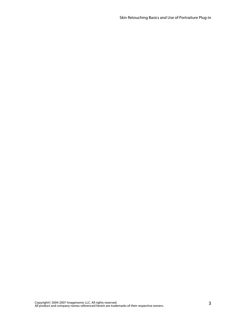Skin Retouching Basics and Use of Portraiture Plug-in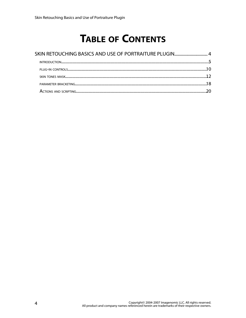## **TABLE OF CONTENTS**

| SKIN RETOUCHING BASICS AND USE OF PORTRAITURE PLUGIN 4 |  |
|--------------------------------------------------------|--|
| $\verb NTRODUCTION .5 $                                |  |
|                                                        |  |
|                                                        |  |
|                                                        |  |
|                                                        |  |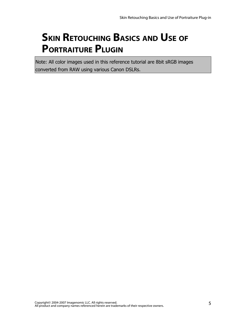## **SKIN RETOUCHING BASICS AND USE OF PORTRAITURE PLUGIN**

Note: All color images used in this reference tutorial are 8bit sRGB images converted from RAW using various Canon DSLRs.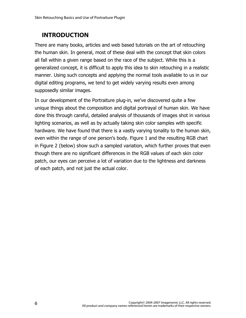### **INTRODUCTION**

There are many books, articles and web based tutorials on the art of retouching the human skin. In general, most of these deal with the concept that skin colors all fall within a given range based on the race of the subject. While this is a generalized concept, it is difficult to apply this idea to skin retouching in a realistic manner. Using such concepts and applying the normal tools available to us in our digital editing programs, we tend to get widely varying results even among supposedly similar images.

In our development of the Portraiture plug-in, we've discovered quite a few unique things about the composition and digital portrayal of human skin. We have done this through careful, detailed analysis of thousands of images shot in various lighting scenarios, as well as by actually taking skin color samples with specific hardware. We have found that there is a vastly varying tonality to the human skin, even within the range of one person's body. Figure [1](#page-6-0) and the resulting RGB chart in Figure [2](#page-6-1) [\(below\)](#page-6-0) show such a sampled variation, which further proves that even though there are no significant differences in the RGB values of each skin color patch, our eyes can perceive a lot of variation due to the lightness and darkness of each patch, and not just the actual color.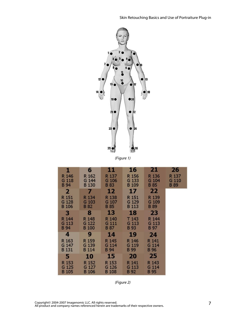Skin Retouching Basics and Use of Portraiture Plug-in



<span id="page-6-0"></span>*(Figure 1)*

| 1                     | 6                     | 11                   | 16                    | 21                   | 26                   |
|-----------------------|-----------------------|----------------------|-----------------------|----------------------|----------------------|
| R 146                 | R 162                 | R 137                | R 156                 | R 136                | R 137                |
| G 118<br><b>B</b> 94  | G 144<br><b>B</b> 130 | G 106<br><b>B</b> 83 | G 133<br><b>B</b> 109 | G 104<br><b>B</b> 85 | G 110<br><b>B</b> 89 |
| $\overline{2}$        | 7                     | 12                   | 17                    | 22                   |                      |
| R 151                 | R 134                 | R 138                | R 151                 | R 139                |                      |
| G 128<br><b>B</b> 106 | G 103<br><b>B</b> 82  | G 107<br><b>B</b> 85 | G 129<br><b>B</b> 113 | G 109<br><b>B</b> 89 |                      |
| 3                     | 8                     | 13                   | 18                    | 23                   |                      |
| R 144                 | R 148                 | R 140                | T 143                 | R 144                |                      |
| G 113                 | G 122                 | G 111                | G 113                 | G 113                |                      |
| <b>B</b> 94           | <b>B</b> 100          | <b>B</b> 87          | <b>B</b> 93           | <b>B</b> 97          |                      |
| 4                     | 9                     | 14                   | 19                    | 24                   |                      |
| R 163                 | R <sub>159</sub>      | R 145                | R 146                 | R 141                |                      |
| G 147<br><b>B</b> 131 | G 139<br><b>B</b> 114 | G 114<br><b>B</b> 94 | G 119<br><b>B</b> 99  | G 114<br><b>B</b> 96 |                      |
| 5                     | 10                    | 15                   | 20                    | 25                   |                      |
| R 153                 | R 152                 | R 153                | R 141                 | R 143                |                      |
| G 125                 | G 127                 | G 126                | G 113                 | G 114                |                      |
| <b>B</b> 105          | <b>B</b> 106          | <b>B</b> 108         | <b>B</b> 92           | <b>B</b> 95          |                      |

<span id="page-6-1"></span>*(Figure 2)*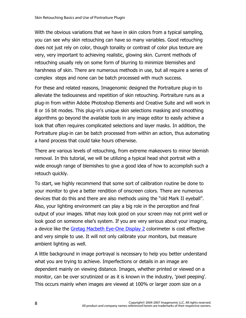With the obvious variations that we have in skin colors from a typical sampling, you can see why skin retouching can have so many variables. Good retouching does not just rely on color, though tonality or contrast of color plus texture are very, very important to achieving realistic, glowing skin. Current methods of retouching usually rely on some form of blurring to minimize blemishes and harshness of skin. There are numerous methods in use, but all require a series of complex steps and none can be batch processed with much success.

For these and related reasons, Imagenomic designed the Portraiture plug-in to alleviate the tediousness and repetition of skin retouching. Portraiture runs as a plug-in from within Adobe Photoshop Elements and Creative Suite and will work in 8 or 16 bit modes. This plug-in's unique skin selections masking and smoothing algorithms go beyond the available tools in any image editor to easily achieve a look that often requires complicated selections and layer masks. In addition, the Portraiture plug-in can be batch processed from within an action, thus automating a hand process that could take hours otherwise.

There are various levels of retouching, from extreme makeovers to minor blemish removal. In this tutorial, we will be utilizing a typical head shot portrait with a wide enough range of blemishes to give a good idea of how to accomplish such a retouch quickly.

To start, we highly recommend that some sort of calibration routine be done to your monitor to give a better rendition of onscreen colors. There are numerous devices that do this and there are also methods using the "old Mark II eyeball". Also, your lighting environment can play a big role in the perception and final output of your images. What may look good on your screen may not print well or look good on someone else's system. If you are very serious about your imaging, a device like the [Gretag Macbeth Eye-One](http://www.gretagmacbeth.com/index/products/products_color-mgmt-spec/products_cm-for-creatives/products_eye-one-display.htm) Display 2 colorimeter is cost effective and very simple to use. It will not only calibrate your monitors, but measure ambient lighting as well.

A little background in image portrayal is necessary to help you better understand what you are trying to achieve. Imperfections or details in an image are dependent mainly on viewing distance. Images, whether printed or viewed on a monitor, can be over scrutinized or as it is known in the industry, 'pixel peeping'. This occurs mainly when images are viewed at 100% or larger zoom size on a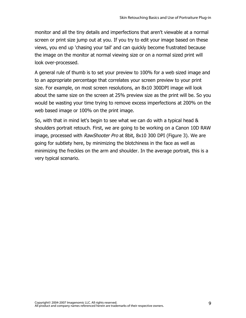monitor and all the tiny details and imperfections that aren't viewable at a normal screen or print size jump out at you. If you try to edit your image based on these views, you end up 'chasing your tail' and can quickly become frustrated because the image on the monitor at normal viewing size or on a normal sized print will look over-processed.

A general rule of thumb is to set your preview to 100% for a web sized image and to an appropriate percentage that correlates your screen preview to your print size. For example, on most screen resolutions, an 8x10 300DPI image will look about the same size on the screen at 25% preview size as the print will be. So you would be wasting your time trying to remove excess imperfections at 200% on the web based image or 100% on the print image.

So, with that in mind let's begin to see what we can do with a typical head & shoulders portrait retouch. First, we are going to be working on a Canon 10D RAW image, processed with RawShooter Pro at 8bit, 8x10 300 DPI (Figure [3\)](#page-9-0). We are going for subtlety here, by minimizing the blotchiness in the face as well as minimizing the freckles on the arm and shoulder. In the average portrait, this is a very typical scenario.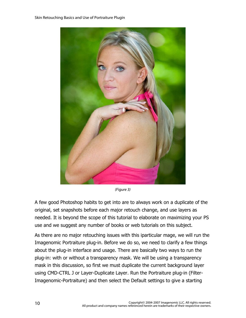

*(Figure 3)*

<span id="page-9-0"></span>A few good Photoshop habits to get into are to always work on a duplicate of the original, set snapshots before each major retouch change, and use layers as needed. It is beyond the scope of this tutorial to elaborate on maximizing your PS use and we suggest any number of books or web tutorials on this subject.

As there are no major retouching issues with this iparticular mage, we will run the Imagenomic Portraiture plug-in. Before we do so, we need to clarify a few things about the plug-in interface and usage. There are basically two ways to run the plug-in: with or without a transparency mask. We will be using a transparency mask in this discussion, so first we must duplicate the current background layer using CMD-CTRL J or Layer-Duplicate Layer. Run the Portraiture plug-in (Filter-Imagenomic-Portraiture) and then select the Default settings to give a starting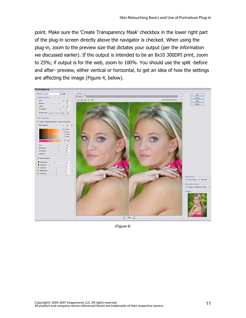point. Make sure the 'Create Transparency Mask' checkbox in the lower right part of the plug-in screen directly above the navigator is checked. When using the plug-in, zoom to the preview size that dictates your output (per the information we discussed earlier). If the output is intended to be an 8x10 300DPI print, zoom to 25%; if output is for the web, zoom to 100%. You should use the split -before and after- preview, either vertical or horizontal, to get an idea of how the settings are affecting the image (Figure [4, below\)](#page-10-0).

<span id="page-10-0"></span>

*(Figure 4)*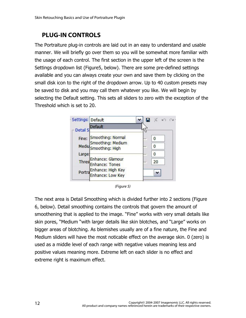### **PLUG-IN CONTROLS**

The Portraiture plug-in controls are laid out in an easy to understand and usable manner. We will briefly go over them so you will be somewhat more familiar with the usage of each control. The first section in the upper left of the screen is the Settings dropdown list (Figur[e5, below\)](#page-11-0). There are some pre-defined settings available and you can always create your own and save them by clicking on the small disk icon to the right of the dropdown arrow. Up to 40 custom presets may be saved to disk and you may call them whatever you like. We will begin by selecting the Default setting. This sets all sliders to zero with the exception of the Threshold which is set to 20.



<span id="page-11-0"></span>

The next area is Detail Smoothing which is divided further into 2 sections (Figure [6, below\)](#page-12-0). Detail smoothing contains the controls that govern the amount of smoothening that is applied to the image. "Fine" works with very small details like skin pores, "Medium "with larger details like skin blotches, and "Large" works on bigger areas of blotching. As blemishes usually are of a fine nature, the Fine and Medium sliders will have the most noticable effect on the average skin. 0 (zero) is used as a middle level of each range with negative values meaning less and positive values meaning more. Extreme left on each slider is no effect and extreme right is maximum effect.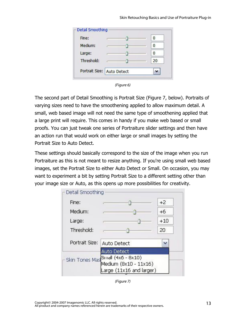| Fine:          |                    | n  |
|----------------|--------------------|----|
| Medium:        |                    |    |
| Large:         |                    |    |
| Threshold:     |                    | 20 |
| Portrait Size: | <b>Auto Detect</b> |    |

<span id="page-12-0"></span>*(Figure 6)*

The second part of Detail Smoothing is Portrait Size (Figure [7, below\)](#page-12-1). Portraits of varying sizes need to have the smoothening applied to allow maximum detail. A small, web based image will not need the same type of smoothening applied that a large print will require. This comes in handy if you make web based or small proofs. You can just tweak one series of Portraiture slider settings and then have an action run that would work on either large or small images by setting the Portrait Size to Auto Detect.

These settings should basically correspond to the size of the image when you run Portraiture as this is not meant to resize anything. If you're using small web based images, set the Portrait Size to either Auto Detect or Small. On occasion, you may want to experiment a bit by setting Portrait Size to a different setting other than your image size or Auto, as this opens up more possibilities for creativity.

| Fine:          |                                                                                                              | $+2$  |
|----------------|--------------------------------------------------------------------------------------------------------------|-------|
| Medium:        |                                                                                                              | $+6$  |
| Large:         |                                                                                                              | $+10$ |
| Threshold:     |                                                                                                              | 20    |
| Portrait Size: | <b>Auto Detect</b>                                                                                           |       |
|                | <b>Auto Detect</b><br>Skin Tones Mas Small (4x6 - 8x10)<br>Medium (8x10 - 11x16)<br>arge (11x16 and larger). |       |

<span id="page-12-1"></span>*(Figure 7)*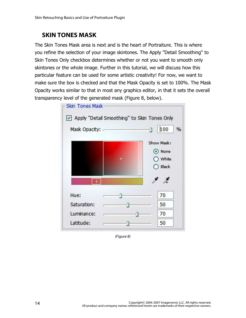#### **SKIN TONES MASK**

The Skin Tones Mask area is next and is the heart of Portraiture. This is where you refine the selection of your image skintones. The Apply "Detail Smoothing" to Skin Tones Only checkbox determines whether or not you want to smooth only skintones or the whole image. Further in this tutorial, we will discuss how this particular feature can be used for some artistic creativity! For now, we want to make sure the box is checked and that the Mask Opacity is set to 100%. The Mask Opacity works similar to that in most any graphics editor, in that it sets the overall transparency level of the generated mask (Figure [8, below\)](#page-13-0).



<span id="page-13-0"></span>*(Figure 8)*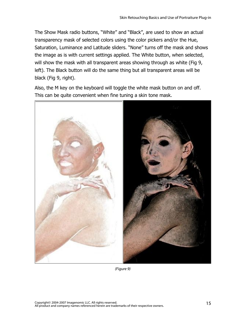The Show Mask radio buttons, "White" and "Black", are used to show an actual transparency mask of selected colors using the color pickers and/or the Hue, Saturation, Luminance and Latitude sliders. "None" turns off the mask and shows the image as is with current settings applied. The White button, when selected, will show the mask with all transparent areas showing through as white (Fig [9,](#page-14-0) left). The Black button will do the same thing but all transparent areas will be black (Fig [9,](#page-14-0) right).

Also, the M key on the keyboard will toggle the white mask button on and off. This can be quite convenient when fine tuning a skin tone mask.



<span id="page-14-0"></span>*(Figure 9)*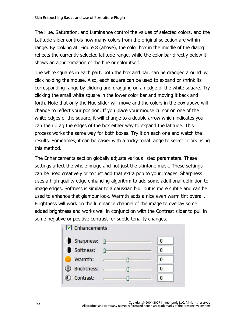The Hue, Saturation, and Luminance control the values of selected colors, and the Latitude slider controls how many colors from the original selection are within range. By looking at Figure [8 \(above\)](#page-13-0), the color box in the middle of the dialog reflects the currently selected latitude range, while the color bar directly below it shows an approximation of the hue or color itself.

The white squares in each part, both the box and bar, can be dragged around by click holding the mouse. Also, each square can be used to expand or shrink its corresponding range by clicking and dragging on an edge of the white square. Try clicking the small white square in the lower color bar and moving it back and forth. Note that only the Hue slider will move and the colors in the box above will change to reflect your position. If you place your mouse cursor on one of the white edges of the square, it will change to a double arrow which indicates you can then drag the edges of the box either way to expand the latitude. This process works the same way for both boxes. Try it on each one and watch the results. Sometimes, it can be easier with a tricky tonal range to select colors using this method.

The Enhancements section globally adjusts various listed parameters. These settings affect the whole image and not just the skintone mask. These settings can be used creatively or to just add that extra pop to your images. Sharpness uses a high quality edge enhancing algorithm to add some additional definition to image edges. Softness is similar to a gaussian blur but is more subtle and can be used to enhance that glamour look. Warmth adds a nice even warm tint overall. Brightness will work on the luminance channel of the image to overlay some added brightness and works well in conjunction with the Contrast slider to pull in some negative or positive contrast for subtle tonality changes.

| Sharpness:  |  |  |
|-------------|--|--|
| Softness:   |  |  |
| Warmth:     |  |  |
| Brightness: |  |  |
| Contrast:   |  |  |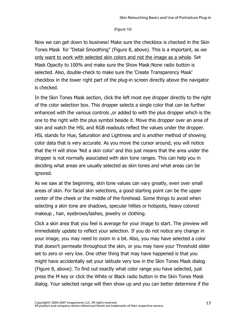*(Figure 10)*

Now we can get down to business! Make sure the checkbox is checked in the Skin Tones Mask for "Detail Smoothing" (Figure [8, above\)](#page-13-0). This is a important, as we only want to work with selected skin colors and not the image as a whole. Set Mask Opacity to 100% and make sure the Show Mask:None radio button is selected. Also, double-check to make sure the 'Create Transparency Mask' checkbox in the lower right part of the plug-in screen directly above the navigator is checked.

In the Skin Tones Mask section, click the left most eye dropper directly to the right of the color selection box. This dropper selects a single color that can be further enhanced with the various controls ,or added to with the plus dropper which is the one to the right with the plus symbol beside it. Move this dropper over an area of skin and watch the HSL and RGB readouts reflect the values under the dropper. HSL stands for Hue, Saturation and Lightness and is another method of showing color data that is very accurate. As you move the cursor around, you will notice that the H will show 'Not a skin color' and this just means that the area under the dropper is not normally associated with skin tone ranges. This can help you in deciding what areas are usually selected as skin tones and what areas can be ignored.

As we saw at the beginning, skin tone values can vary greatly, even over small areas of skin. For facial skin selections, a good starting point can be the upper center of the cheek or the middle of the forehead. Some things to avoid when selecting a skin tone are shadows, specular hilites or hotspots, heavy colored makeup , hair, eyebrows/lashes, jewelry or clothing.

Click a skin area that you feel is average for your image to start. The preview will immediately update to reflect your selection. If you do not notice any change in your image, you may need to zoom in a bit. Also, you may have selected a color that doesn't permeate throughout the skin, or you may have your Threshold slider set to zero or very low. One other thing that may have happened is that you might have accidentally set your latitude very low in the Skin Tones Mask dialog (Figure [8, above\)](#page-13-0). To find out exactly what color range you have selected, just press the M key or click the White or Black radio button in the Skin Tones Mask dialog. Your selected range will then show up and you can better determine if the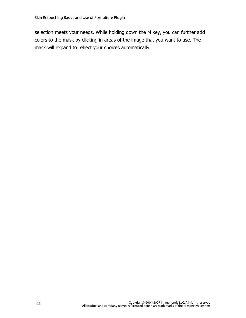selection meets your needs. While holding down the M key, you can further add colors to the mask by clicking in areas of the image that you want to use. The mask will expand to reflect your choices automatically.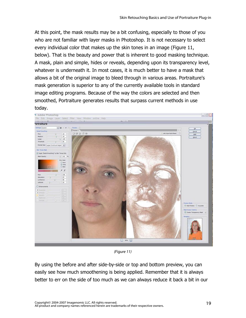At this point, the mask results may be a bit confusing, especially to those of you who are not familiar with layer masks in Photoshop. It is not necessary to select every individual color that makes up the skin tones in an image (Figure [11,](#page-18-0) [below\)](#page-18-0). That is the beauty and power that is inherent to good masking technique. A mask, plain and simple, hides or reveals, depending upon its transparency level, whatever is underneath it. In most cases, it is much better to have a mask that allows a bit of the original image to bleed through in various areas. Portraiture's mask generation is superior to any of the currently available tools in standard image editing programs. Because of the way the colors are selected and then smoothed, Portraiture generates results that surpass current methods in use today.



*(Figure 11)*

<span id="page-18-0"></span>By using the before and after side-by-side or top and bottom preview, you can easily see how much smoothening is being applied. Remember that it is always better to err on the side of too much as we can always reduce it back a bit in our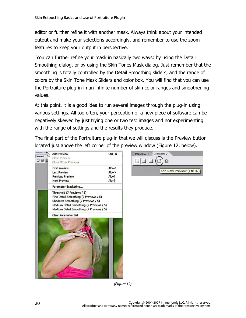editor or further refine it with another mask. Always think about your intended output and make your selections accordingly, and remember to use the zoom features to keep your output in perspective.

 You can further refine your mask in basically two ways: by using the Detail Smoothing dialog, or by using the Skin Tones Mask dialog. Just remember that the smoothing is totally controlled by the Detail Smoothing sliders, and the range of colors by the Skin Tone Mask Sliders and color box. You will find that you can use the Portraiture plug-in in an infinite number of skin color ranges and smoothening values.

At this point, it is a good idea to run several images through the plug-in using various settings. All too often, your perception of a new piece of software can be negatively skewed by just trying one or two test images and not experimenting with the range of settings and the results they produce.

The final part of the Portraiture plug-in that we will discuss is the Preview button located just above the left corner of the preview window (Figure [12, below\)](#page-19-0).





<span id="page-19-0"></span>*(Figure 12)*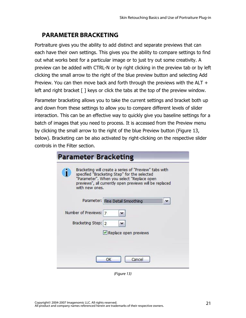#### **PARAMETER BRACKETING**

Portraiture gives you the ability to add distinct and separate previews that can each have their own settings. This gives you the ability to compare settings to find out what works best for a particular image or to just try out some creativity. A preview can be added with CTRL-N or by right clicking in the preview tab or by left clicking the small arrow to the right of the blue preview button and selecting Add Preview. You can then move back and forth through the previews with the ALT + left and right bracket [ ] keys or click the tabs at the top of the preview window.

Parameter bracketing allows you to take the current settings and bracket both up and down from these settings to allow you to compare different levels of slider interaction. This can be an effective way to quickly give you baseline settings for a batch of images that you need to process. It is accessed from the Preview menu by clicking the small arrow to the right of the blue Preview button (Figure [13,](#page-20-0) [below\)](#page-20-0). Bracketing can be also activated by right-clicking on the respective slider controls in the Filter section.

| <b>Parameter Bracketing</b>                                                                                                                                                                                                       |
|-----------------------------------------------------------------------------------------------------------------------------------------------------------------------------------------------------------------------------------|
| Bracketing will create a series of "Preview" tabs with<br>specified "Bracketing Step" for the selected<br>"Parameter". When you select "Replace open<br>previews", all currently open previews will be replaced<br>with new ones. |
| <b>Fine Detail Smoothing</b><br>Parameter:<br>v                                                                                                                                                                                   |
| Number of Previews:<br>7<br>v                                                                                                                                                                                                     |
| Bracketing Step:<br>$\overline{2}$                                                                                                                                                                                                |
| Replace open previews                                                                                                                                                                                                             |
|                                                                                                                                                                                                                                   |
| Cancel<br>ОК                                                                                                                                                                                                                      |

<span id="page-20-0"></span>*(Figure 13)*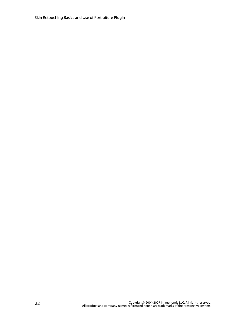Skin Retouching Basics and Use of Portraiture Plugin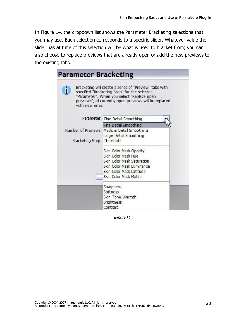In Figure [14,](#page-22-0) the dropdown list shows the Parameter Bracketing selections that you may use. Each selection corresponds to a specific slider. Whatever value the slider has at time of this selection will be what is used to bracket from; you can also choose to replace previews that are already open or add the new previews to the existing tabs.

| <b>Parameter Bracketing</b><br>with new ones. | Bracketing will create a series of "Preview" tabs with<br>specified "Bracketing Step" for the selected<br>"Parameter". When you select "Replace open<br>previews", all currently open previews will be replaced |
|-----------------------------------------------|-----------------------------------------------------------------------------------------------------------------------------------------------------------------------------------------------------------------|
|                                               | Parameter: Fine Detail Smoothing                                                                                                                                                                                |
|                                               | Fine Detail Smoothing                                                                                                                                                                                           |
|                                               | Number of Previews: Medium Detail Smoothing                                                                                                                                                                     |
| Bracketing Step:                              | Large Detail Smoothing<br>Threshold                                                                                                                                                                             |
|                                               | Skin Color Mask Opacity                                                                                                                                                                                         |
|                                               | Skin Color Mask Hue                                                                                                                                                                                             |
|                                               | Skin Color Mask Saturation                                                                                                                                                                                      |
|                                               | Skin Color Mask Luminance                                                                                                                                                                                       |
|                                               | Skin Color Mask Latitude                                                                                                                                                                                        |
|                                               | Skin Color Mask Matte                                                                                                                                                                                           |
|                                               | Sharpness                                                                                                                                                                                                       |
|                                               | Softness                                                                                                                                                                                                        |
|                                               | Skin Tone Warmth                                                                                                                                                                                                |
|                                               | <b>Brightness</b>                                                                                                                                                                                               |
|                                               | Contrast                                                                                                                                                                                                        |

<span id="page-22-0"></span>*(Figure 14)*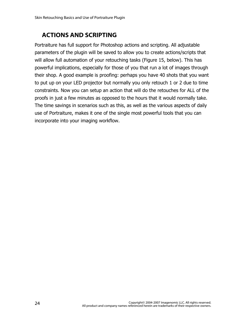#### **ACTIONS AND SCRIPTING**

Portraiture has full support for Photoshop actions and scripting. All adjustable parameters of the plugin will be saved to allow you to create actions/scripts that will allow full automation of your retouching tasks (Figure [15,](#page-24-0) [below\)](#page-24-0). This has powerful implications, especially for those of you that run a lot of images through their shop. A good example is proofing: perhaps you have 40 shots that you want to put up on your LED projector but normally you only retouch 1 or 2 due to time constraints. Now you can setup an action that will do the retouches for ALL of the proofs in just a few minutes as opposed to the hours that it would normally take. The time savings in scenarios such as this, as well as the various aspects of daily use of Portraiture, makes it one of the single most powerful tools that you can incorporate into your imaging workflow.